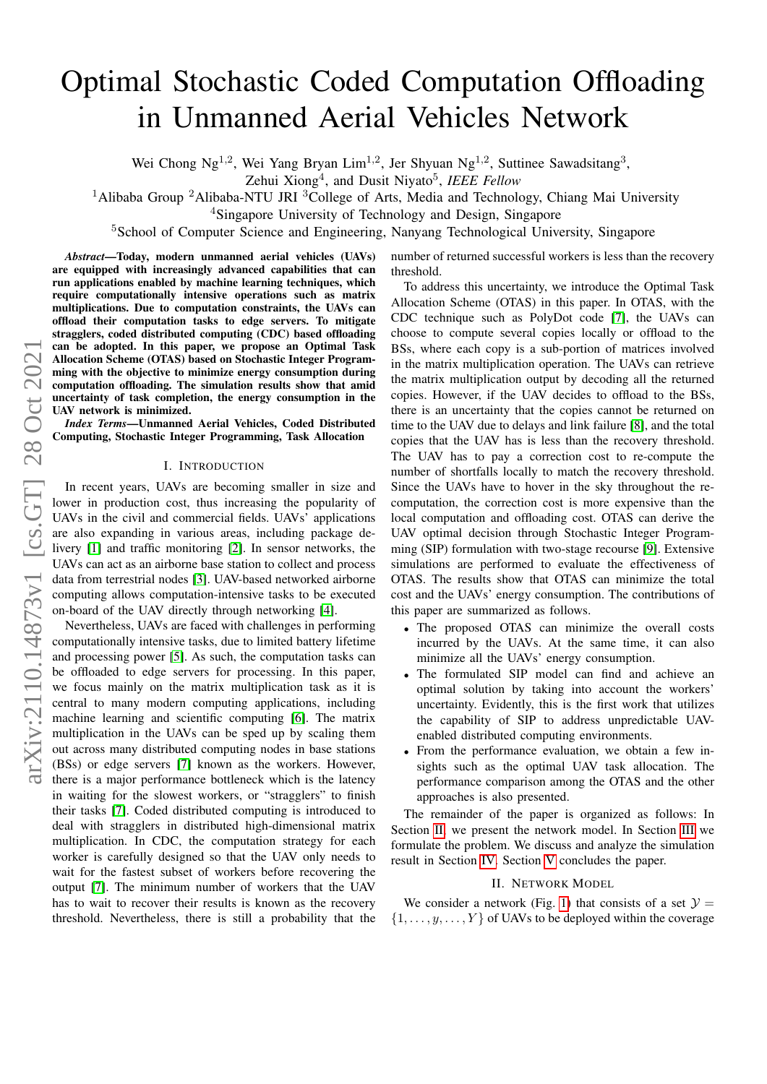# Optimal Stochastic Coded Computation Offloading in Unmanned Aerial Vehicles Network

Wei Chong Ng<sup>1,2</sup>, Wei Yang Bryan Lim<sup>1,2</sup>, Jer Shyuan Ng<sup>1,2</sup>, Suttinee Sawadsitang<sup>3</sup>,

Zehui Xiong<sup>4</sup>, and Dusit Niyato<sup>5</sup>, IEEE Fellow

<sup>1</sup>Alibaba Group <sup>2</sup>Alibaba-NTU JRI <sup>3</sup>College of Arts, Media and Technology, Chiang Mai University

<sup>4</sup>Singapore University of Technology and Design, Singapore

<sup>5</sup>School of Computer Science and Engineering, Nanyang Technological University, Singapore

*Abstract*—Today, modern unmanned aerial vehicles (UAVs) are equipped with increasingly advanced capabilities that can run applications enabled by machine learning techniques, which require computationally intensive operations such as matrix multiplications. Due to computation constraints, the UAVs can offload their computation tasks to edge servers. To mitigate stragglers, coded distributed computing (CDC) based offloading can be adopted. In this paper, we propose an Optimal Task Allocation Scheme (OTAS) based on Stochastic Integer Programming with the objective to minimize energy consumption during computation offloading. The simulation results show that amid uncertainty of task completion, the energy consumption in the UAV network is minimized.

*Index Terms*—Unmanned Aerial Vehicles, Coded Distributed Computing, Stochastic Integer Programming, Task Allocation

#### I. INTRODUCTION

In recent years, UAVs are becoming smaller in size and lower in production cost, thus increasing the popularity of UAVs in the civil and commercial fields. UAVs' applications are also expanding in various areas, including package delivery [\[1\]](#page-5-0) and traffic monitoring [\[2\]](#page-5-1). In sensor networks, the UAVs can act as an airborne base station to collect and process data from terrestrial nodes [\[3\]](#page-5-2). UAV-based networked airborne computing allows computation-intensive tasks to be executed on-board of the UAV directly through networking [\[4\]](#page-5-3).

Nevertheless, UAVs are faced with challenges in performing computationally intensive tasks, due to limited battery lifetime and processing power [\[5\]](#page-5-4). As such, the computation tasks can be offloaded to edge servers for processing. In this paper, we focus mainly on the matrix multiplication task as it is central to many modern computing applications, including machine learning and scientific computing [\[6\]](#page-5-5). The matrix multiplication in the UAVs can be sped up by scaling them out across many distributed computing nodes in base stations (BSs) or edge servers [\[7\]](#page-5-6) known as the workers. However, there is a major performance bottleneck which is the latency in waiting for the slowest workers, or "stragglers" to finish their tasks [\[7\]](#page-5-6). Coded distributed computing is introduced to deal with stragglers in distributed high-dimensional matrix multiplication. In CDC, the computation strategy for each worker is carefully designed so that the UAV only needs to wait for the fastest subset of workers before recovering the output [\[7\]](#page-5-6). The minimum number of workers that the UAV has to wait to recover their results is known as the recovery threshold. Nevertheless, there is still a probability that the number of returned successful workers is less than the recovery threshold.

To address this uncertainty, we introduce the Optimal Task Allocation Scheme (OTAS) in this paper. In OTAS, with the CDC technique such as PolyDot code [\[7\]](#page-5-6), the UAVs can choose to compute several copies locally or offload to the BSs, where each copy is a sub-portion of matrices involved in the matrix multiplication operation. The UAVs can retrieve the matrix multiplication output by decoding all the returned copies. However, if the UAV decides to offload to the BSs, there is an uncertainty that the copies cannot be returned on time to the UAV due to delays and link failure [\[8\]](#page-5-7), and the total copies that the UAV has is less than the recovery threshold. The UAV has to pay a correction cost to re-compute the number of shortfalls locally to match the recovery threshold. Since the UAVs have to hover in the sky throughout the recomputation, the correction cost is more expensive than the local computation and offloading cost. OTAS can derive the UAV optimal decision through Stochastic Integer Programming (SIP) formulation with two-stage recourse [\[9\]](#page-5-8). Extensive simulations are performed to evaluate the effectiveness of OTAS. The results show that OTAS can minimize the total cost and the UAVs' energy consumption. The contributions of this paper are summarized as follows.

- The proposed OTAS can minimize the overall costs incurred by the UAVs. At the same time, it can also minimize all the UAVs' energy consumption.
- The formulated SIP model can find and achieve an optimal solution by taking into account the workers' uncertainty. Evidently, this is the first work that utilizes the capability of SIP to address unpredictable UAVenabled distributed computing environments.
- From the performance evaluation, we obtain a few insights such as the optimal UAV task allocation. The performance comparison among the OTAS and the other approaches is also presented.

The remainder of the paper is organized as follows: In Section [II,](#page-0-0) we present the network model. In Section [III](#page-2-0) we formulate the problem. We discuss and analyze the simulation result in Section [IV.](#page-4-0) Section [V](#page-5-9) concludes the paper.

## II. NETWORK MODEL

<span id="page-0-0"></span>We consider a network (Fig. [1\)](#page-1-0) that consists of a set  $\mathcal{Y} =$  $\{1, \ldots, y, \ldots, Y\}$  of UAVs to be deployed within the coverage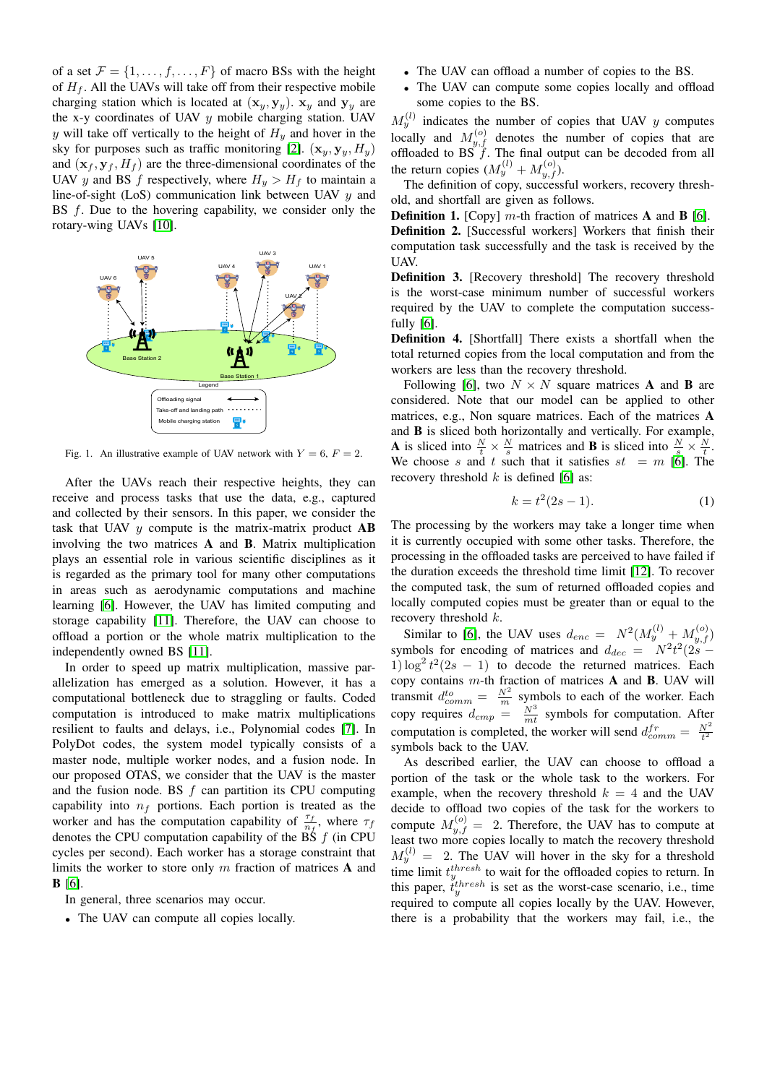of a set  $\mathcal{F} = \{1, \ldots, f, \ldots, F\}$  of macro BSs with the height of  $H_f$ . All the UAVs will take off from their respective mobile charging station which is located at  $(\mathbf{x}_y, \mathbf{y}_y)$ .  $\mathbf{x}_y$  and  $\mathbf{y}_y$  are the x-y coordinates of UAV  $y$  mobile charging station. UAV y will take off vertically to the height of  $H<sub>y</sub>$  and hover in the sky for purposes such as traffic monitoring [\[2\]](#page-5-1).  $(\mathbf{x}_y, \mathbf{y}_y, H_y)$ and  $(\mathbf{x}_f, \mathbf{y}_f, H_f)$  are the three-dimensional coordinates of the UAV y and BS f respectively, where  $H_y > H_f$  to maintain a line-of-sight (LoS) communication link between UAV  $y$  and BS  $f$ . Due to the hovering capability, we consider only the rotary-wing UAVs [\[10\]](#page-5-10).



<span id="page-1-0"></span>Fig. 1. An illustrative example of UAV network with  $Y = 6$ ,  $F = 2$ .

After the UAVs reach their respective heights, they can receive and process tasks that use the data, e.g., captured and collected by their sensors. In this paper, we consider the task that UAV  $y$  compute is the matrix-matrix product  $AB$ involving the two matrices A and B. Matrix multiplication plays an essential role in various scientific disciplines as it is regarded as the primary tool for many other computations in areas such as aerodynamic computations and machine learning [\[6\]](#page-5-5). However, the UAV has limited computing and storage capability [\[11\]](#page-5-11). Therefore, the UAV can choose to offload a portion or the whole matrix multiplication to the independently owned BS [\[11\]](#page-5-11).

In order to speed up matrix multiplication, massive parallelization has emerged as a solution. However, it has a computational bottleneck due to straggling or faults. Coded computation is introduced to make matrix multiplications resilient to faults and delays, i.e., Polynomial codes [\[7\]](#page-5-6). In PolyDot codes, the system model typically consists of a master node, multiple worker nodes, and a fusion node. In our proposed OTAS, we consider that the UAV is the master and the fusion node. BS f can partition its CPU computing capability into  $n_f$  portions. Each portion is treated as the worker and has the computation capability of  $\frac{\tau_f}{n_f}$ , where  $\tau_f$ denotes the CPU computation capability of the BS  $f$  (in CPU cycles per second). Each worker has a storage constraint that limits the worker to store only m fraction of matrices A and B [\[6\]](#page-5-5).

- In general, three scenarios may occur.
- The UAV can compute all copies locally.
- The UAV can offload a number of copies to the BS.
- The UAV can compute some copies locally and offload some copies to the BS.

 $M_y^{(l)}$  indicates the number of copies that UAV y computes locally and  $M_{y,f}^{(o)}$  denotes the number of copies that are offloaded to BS  $f$ . The final output can be decoded from all the return copies  $(M_y^{(l)} + M_{y,f}^{(o)})$ .

The definition of copy, successful workers, recovery threshold, and shortfall are given as follows.

**Definition 1.** [Copy]  $m$ -th fraction of matrices **A** and **B** [\[6\]](#page-5-5). Definition 2. [Successful workers] Workers that finish their computation task successfully and the task is received by the UAV.

Definition 3. [Recovery threshold] The recovery threshold is the worst-case minimum number of successful workers required by the UAV to complete the computation successfully [\[6\]](#page-5-5).

Definition 4. [Shortfall] There exists a shortfall when the total returned copies from the local computation and from the workers are less than the recovery threshold.

Following [\[6\]](#page-5-5), two  $N \times N$  square matrices **A** and **B** are considered. Note that our model can be applied to other matrices, e.g., Non square matrices. Each of the matrices A and B is sliced both horizontally and vertically. For example, **A** is sliced into  $\frac{N}{t} \times \frac{N}{s}$  matrices and **B** is sliced into  $\frac{N}{s} \times \frac{N}{t}$ . We choose s and t such that it satisfies  $st = m$  [\[6\]](#page-5-5). The recovery threshold  $k$  is defined [\[6\]](#page-5-5) as:

<span id="page-1-1"></span>
$$
k = t^2(2s - 1).
$$
 (1)

The processing by the workers may take a longer time when it is currently occupied with some other tasks. Therefore, the processing in the offloaded tasks are perceived to have failed if the duration exceeds the threshold time limit [\[12\]](#page-5-12). To recover the computed task, the sum of returned offloaded copies and locally computed copies must be greater than or equal to the recovery threshold k.

Similar to [\[6\]](#page-5-5), the UAV uses  $d_{enc} = N^2 (M_y^{(l)} + M_{y,f}^{(o)})$ symbols for encoding of matrices and  $d_{dec} = N^2 t^2 (2s - )$ 1)  $\log^2 t^2(2s - 1)$  to decode the returned matrices. Each copy contains  $m$ -th fraction of matrices  $A$  and  $B$ . UAV will transmit  $d_{comm}^{to} = \frac{N^2}{m}$  symbols to each of the worker. Each copy requires  $d_{cmp} = \frac{N^3}{mt}$  symbols for computation. After computation is completed, the worker will send  $d_{comm}^{fr} = \frac{N^2}{t^2}$ symbols back to the UAV.

As described earlier, the UAV can choose to offload a portion of the task or the whole task to the workers. For example, when the recovery threshold  $k = 4$  and the UAV decide to offload two copies of the task for the workers to compute  $M_{y,f}^{(o)} = 2$ . Therefore, the UAV has to compute at least two more copies locally to match the recovery threshold  $M_y^{(l)} = 2$ . The UAV will hover in the sky for a threshold time limit  $t_{y}^{thresh}$  to wait for the offloaded copies to return. In this paper,  $\dot{t}_y^{thresh}$  is set as the worst-case scenario, i.e., time required to compute all copies locally by the UAV. However, there is a probability that the workers may fail, i.e., the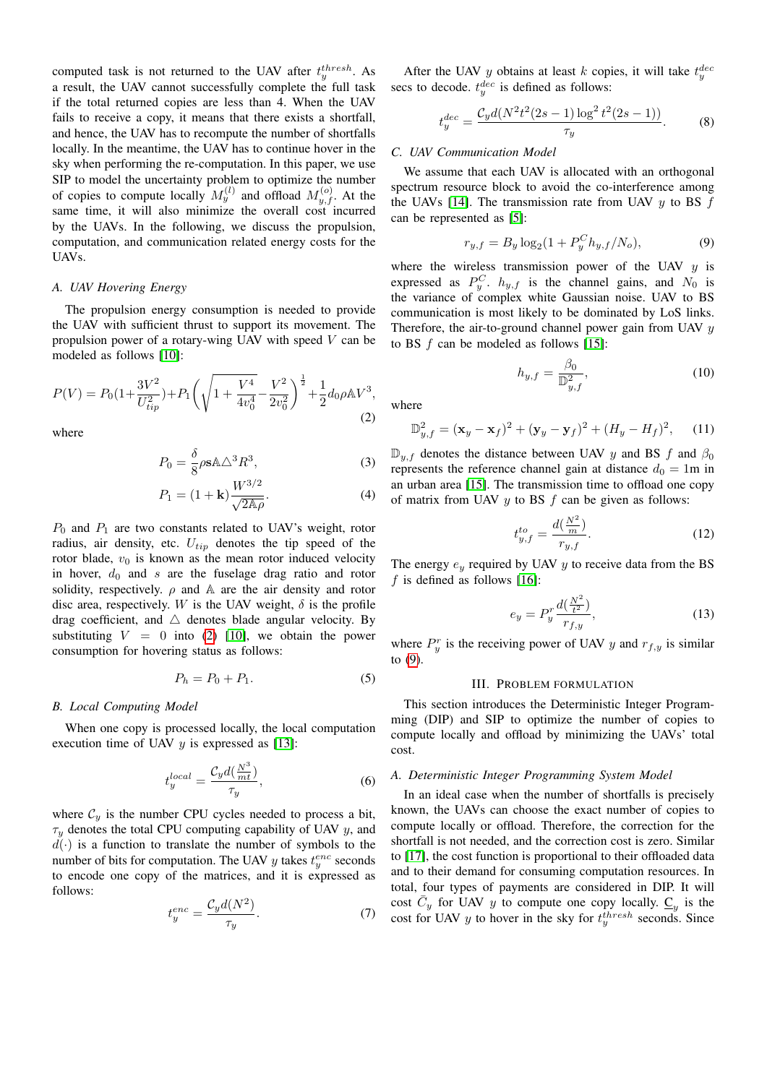computed task is not returned to the UAV after  $t_y^{thresh}$ . As a result, the UAV cannot successfully complete the full task if the total returned copies are less than 4. When the UAV fails to receive a copy, it means that there exists a shortfall, and hence, the UAV has to recompute the number of shortfalls locally. In the meantime, the UAV has to continue hover in the sky when performing the re-computation. In this paper, we use SIP to model the uncertainty problem to optimize the number of copies to compute locally  $M_y^{(l)}$  and offload  $M_{y,f}^{(o)}$ . At the same time, it will also minimize the overall cost incurred by the UAVs. In the following, we discuss the propulsion, computation, and communication related energy costs for the UAVs.

# *A. UAV Hovering Energy*

The propulsion energy consumption is needed to provide the UAV with sufficient thrust to support its movement. The propulsion power of a rotary-wing UAV with speed V can be modeled as follows [\[10\]](#page-5-10):

<span id="page-2-1"></span>
$$
P(V) = P_0 \left(1 + \frac{3V^2}{U_{tip}^2}\right) + P_1 \left(\sqrt{1 + \frac{V^4}{4v_0^4}} - \frac{V^2}{2v_0^2}\right)^{\frac{1}{2}} + \frac{1}{2} d_0 \rho \mathbb{A} V^3,\tag{2}
$$

where

$$
P_0 = \frac{\delta}{8} \rho s A \Delta^3 R^3,
$$
 (3)

$$
P_1 = (1 + \mathbf{k}) \frac{W^{3/2}}{\sqrt{2\mathbb{A}\rho}}.\tag{4}
$$

 $P_0$  and  $P_1$  are two constants related to UAV's weight, rotor radius, air density, etc.  $U_{tip}$  denotes the tip speed of the rotor blade,  $v_0$  is known as the mean rotor induced velocity in hover,  $d_0$  and s are the fuselage drag ratio and rotor solidity, respectively.  $\rho$  and A are the air density and rotor disc area, respectively. W is the UAV weight,  $\delta$  is the profile drag coefficient, and  $\triangle$  denotes blade angular velocity. By substituting  $V = 0$  into [\(2\)](#page-2-1) [\[10\]](#page-5-10), we obtain the power consumption for hovering status as follows:

$$
P_h = P_0 + P_1. \tag{5}
$$

#### *B. Local Computing Model*

When one copy is processed locally, the local computation execution time of UAV  $y$  is expressed as [\[13\]](#page-5-13):

$$
t_{y}^{local} = \frac{\mathcal{C}_{y}d(\frac{N^{3}}{mt})}{\tau_{y}},\tag{6}
$$

where  $C_y$  is the number CPU cycles needed to process a bit,  $\tau_y$  denotes the total CPU computing capability of UAV y, and  $d(\cdot)$  is a function to translate the number of symbols to the number of bits for computation. The UAV  $y$  takes  $t_y^{enc}$  seconds to encode one copy of the matrices, and it is expressed as follows:

$$
t_y^{enc} = \frac{\mathcal{C}_y d(N^2)}{\tau_y}.\tag{7}
$$

After the UAV y obtains at least k copies, it will take  $t_y^{dec}$ secs to decode.  $t_{y}^{dec}$  is defined as follows:

$$
t_{y}^{dec} = \frac{C_{y}d(N^{2}t^{2}(2s-1)\log^{2}t^{2}(2s-1))}{\tau_{y}}.
$$
 (8)

# *C. UAV Communication Model*

We assume that each UAV is allocated with an orthogonal spectrum resource block to avoid the co-interference among the UAVs [\[14\]](#page-5-14). The transmission rate from UAV  $y$  to BS  $f$ can be represented as [\[5\]](#page-5-4):

<span id="page-2-2"></span>
$$
r_{y,f} = B_y \log_2(1 + P_y^C h_{y,f}/N_o),\tag{9}
$$

where the wireless transmission power of the UAV  $y$  is expressed as  $P_y^C$ .  $h_{y,f}$  is the channel gains, and  $N_0$  is the variance of complex white Gaussian noise. UAV to BS communication is most likely to be dominated by LoS links. Therefore, the air-to-ground channel power gain from UAV  $y$ to BS  $f$  can be modeled as follows [\[15\]](#page-5-15):

$$
h_{y,f} = \frac{\beta_0}{\mathbb{D}_{y,f}^2},\tag{10}
$$

where

$$
\mathbb{D}_{y,f}^2 = (\mathbf{x}_y - \mathbf{x}_f)^2 + (\mathbf{y}_y - \mathbf{y}_f)^2 + (H_y - H_f)^2, \quad (11)
$$

 $\mathbb{D}_{u,f}$  denotes the distance between UAV y and BS f and  $\beta_0$ represents the reference channel gain at distance  $d_0 = 1$ m in an urban area [\[15\]](#page-5-15). The transmission time to offload one copy of matrix from UAV  $y$  to BS  $f$  can be given as follows:

$$
t_{y,f}^{to} = \frac{d(\frac{N^2}{m})}{r_{y,f}}.\t(12)
$$

The energy  $e_y$  required by UAV y to receive data from the BS  $f$  is defined as follows [\[16\]](#page-5-16):

$$
e_y = P_y^r \frac{d(\frac{N^2}{t^2})}{r_{f,y}},
$$
\n(13)

where  $P_y^r$  is the receiving power of UAV y and  $r_{f,y}$  is similar to [\(9\)](#page-2-2).

## III. PROBLEM FORMULATION

<span id="page-2-0"></span>This section introduces the Deterministic Integer Programming (DIP) and SIP to optimize the number of copies to compute locally and offload by minimizing the UAVs' total cost.

#### *A. Deterministic Integer Programming System Model*

In an ideal case when the number of shortfalls is precisely known, the UAVs can choose the exact number of copies to compute locally or offload. Therefore, the correction for the shortfall is not needed, and the correction cost is zero. Similar to [\[17\]](#page-5-17), the cost function is proportional to their offloaded data and to their demand for consuming computation resources. In total, four types of payments are considered in DIP. It will cost  $\overline{C}_y$  for UAV y to compute one copy locally.  $\underline{C}_y$  is the cost for UAV y to hover in the sky for  $t_y^{thresh}$  seconds. Since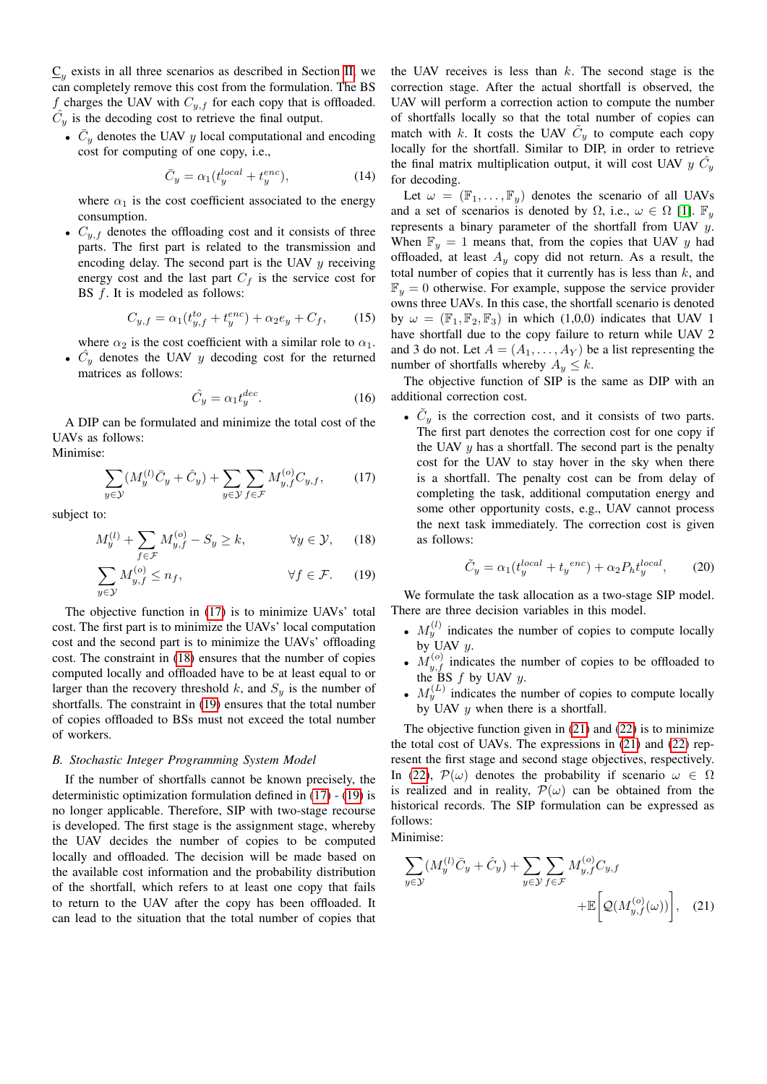$\underline{C}_y$  exists in all three scenarios as described in Section [II,](#page-0-0) we can completely remove this cost from the formulation. The BS f charges the UAV with  $C_{y,f}$  for each copy that is offloaded.  $\hat{C}_y$  is the decoding cost to retrieve the final output.

•  $\bar{C}_y$  denotes the UAV y local computational and encoding cost for computing of one copy, i.e.,

$$
\bar{C}_y = \alpha_1 (t_y^{local} + t_y^{enc}), \tag{14}
$$

where  $\alpha_1$  is the cost coefficient associated to the energy consumption.

•  $C_{y,f}$  denotes the offloading cost and it consists of three parts. The first part is related to the transmission and encoding delay. The second part is the UAV  $y$  receiving energy cost and the last part  $C_f$  is the service cost for BS  $f$ . It is modeled as follows:

$$
C_{y,f} = \alpha_1(t_{y,f}^{to} + t_y^{enc}) + \alpha_2 e_y + C_f, \qquad (15)
$$

where  $\alpha_2$  is the cost coefficient with a similar role to  $\alpha_1$ . •  $\hat{C}_y$  denotes the UAV y decoding cost for the returned matrices as follows:

$$
\hat{C}_y = \alpha_1 t_y^{dec}.\tag{16}
$$

A DIP can be formulated and minimize the total cost of the UAVs as follows: Minimise:

$$
\sum_{y \in \mathcal{Y}} (M_y^{(l)} \bar{C}_y + \hat{C}_y) + \sum_{y \in \mathcal{Y}} \sum_{f \in \mathcal{F}} M_{y,f}^{(o)} C_{y,f}, \qquad (17)
$$

subject to:

$$
M_y^{(l)} + \sum_{f \in \mathcal{F}} M_{y,f}^{(o)} - S_y \ge k, \qquad \forall y \in \mathcal{Y}, \qquad (18)
$$

$$
\sum_{y \in \mathcal{Y}} M_{y,f}^{(o)} \le n_f, \qquad \forall f \in \mathcal{F}. \tag{19}
$$

The objective function in [\(17\)](#page-3-0) is to minimize UAVs' total cost. The first part is to minimize the UAVs' local computation cost and the second part is to minimize the UAVs' offloading cost. The constraint in [\(18\)](#page-3-1) ensures that the number of copies computed locally and offloaded have to be at least equal to or larger than the recovery threshold k, and  $S_y$  is the number of shortfalls. The constraint in [\(19\)](#page-3-2) ensures that the total number of copies offloaded to BSs must not exceed the total number of workers.

## *B. Stochastic Integer Programming System Model*

If the number of shortfalls cannot be known precisely, the deterministic optimization formulation defined in [\(17\)](#page-3-0) - [\(19\)](#page-3-2) is no longer applicable. Therefore, SIP with two-stage recourse is developed. The first stage is the assignment stage, whereby the UAV decides the number of copies to be computed locally and offloaded. The decision will be made based on the available cost information and the probability distribution of the shortfall, which refers to at least one copy that fails to return to the UAV after the copy has been offloaded. It can lead to the situation that the total number of copies that the UAV receives is less than  $k$ . The second stage is the correction stage. After the actual shortfall is observed, the UAV will perform a correction action to compute the number of shortfalls locally so that the total number of copies can match with k. It costs the UAV  $C_y$  to compute each copy locally for the shortfall. Similar to DIP, in order to retrieve the final matrix multiplication output, it will cost UAV  $y \; \hat{C}_y$ for decoding.

Let  $\omega = (\mathbb{F}_1, \dots, \mathbb{F}_y)$  denotes the scenario of all UAVs and a set of scenarios is denoted by  $\Omega$ , i.e.,  $\omega \in \Omega$  [\[1\]](#page-5-0).  $\mathbb{F}_y$ represents a binary parameter of the shortfall from UAV y. When  $\mathbb{F}_y = 1$  means that, from the copies that UAV y had offloaded, at least  $A_y$  copy did not return. As a result, the total number of copies that it currently has is less than  $k$ , and  $\mathbb{F}_y = 0$  otherwise. For example, suppose the service provider owns three UAVs. In this case, the shortfall scenario is denoted by  $\omega = (\mathbb{F}_1, \mathbb{F}_2, \mathbb{F}_3)$  in which (1,0,0) indicates that UAV 1 have shortfall due to the copy failure to return while UAV 2 and 3 do not. Let  $A = (A_1, \ldots, A_Y)$  be a list representing the number of shortfalls whereby  $A_y \leq k$ .

The objective function of SIP is the same as DIP with an additional correction cost.

<span id="page-3-0"></span>•  $\tilde{C}_y$  is the correction cost, and it consists of two parts. The first part denotes the correction cost for one copy if the UAV  $y$  has a shortfall. The second part is the penalty cost for the UAV to stay hover in the sky when there is a shortfall. The penalty cost can be from delay of completing the task, additional computation energy and some other opportunity costs, e.g., UAV cannot process the next task immediately. The correction cost is given as follows:

$$
\tilde{C}_y = \alpha_1 (t_y^{local} + t_y^{enc}) + \alpha_2 P_h t_y^{local}, \qquad (20)
$$

<span id="page-3-2"></span><span id="page-3-1"></span>We formulate the task allocation as a two-stage SIP model. There are three decision variables in this model.

- $M_y^{(l)}$  indicates the number of copies to compute locally by UAV  $y$ .
- $M_{y,f}^{(o)}$  indicates the number of copies to be offloaded to the BS  $f$  by UAV  $y$ .
- $M_y^{(L)}$  indicates the number of copies to compute locally by UAV  $y$  when there is a shortfall.

The objective function given in  $(21)$  and  $(22)$  is to minimize the total cost of UAVs. The expressions in [\(21\)](#page-3-3) and [\(22\)](#page-4-1) represent the first stage and second stage objectives, respectively. In [\(22\)](#page-4-1),  $\mathcal{P}(\omega)$  denotes the probability if scenario  $\omega \in \Omega$ is realized and in reality,  $\mathcal{P}(\omega)$  can be obtained from the historical records. The SIP formulation can be expressed as follows:

Minimise:

<span id="page-3-3"></span>
$$
\sum_{y \in \mathcal{Y}} (M_y^{(l)} \overline{C}_y + \hat{C}_y) + \sum_{y \in \mathcal{Y}} \sum_{f \in \mathcal{F}} M_{y,f}^{(o)} C_{y,f} + \mathbb{E} \bigg[ \mathcal{Q}(M_{y,f}^{(o)}(\omega)) \bigg], \quad (21)
$$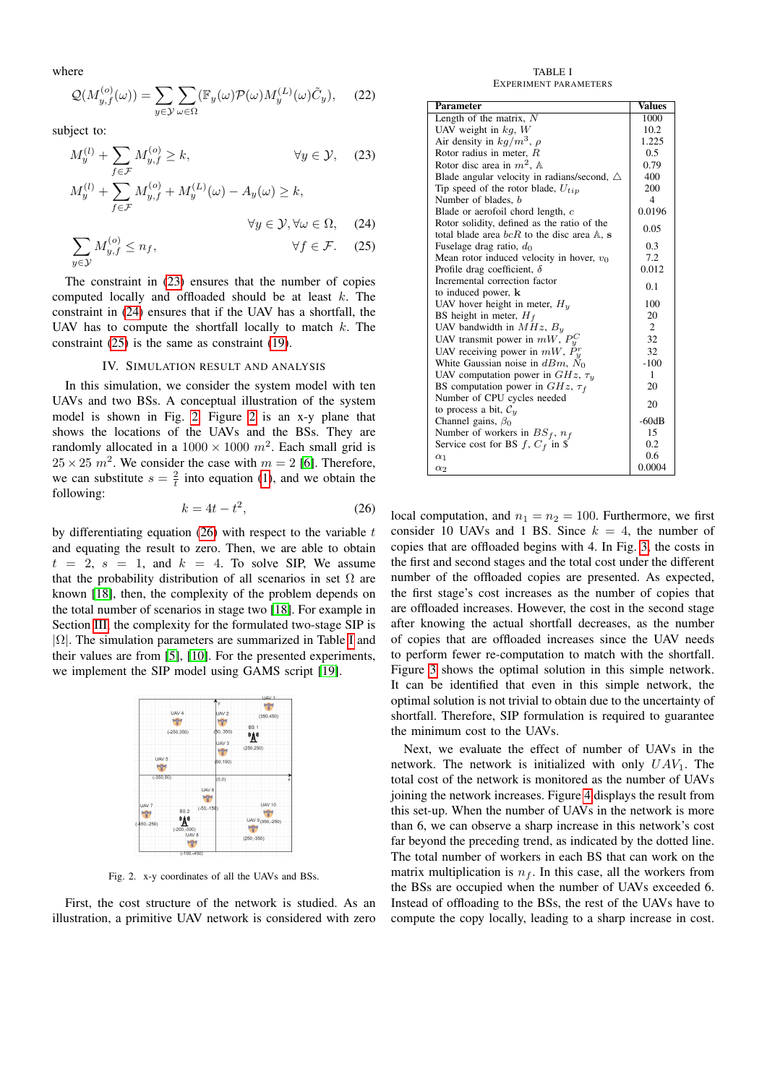where

$$
\mathcal{Q}(M_{y,f}^{(o)}(\omega)) = \sum_{y \in \mathcal{Y}} \sum_{\omega \in \Omega} (\mathbb{F}_y(\omega) \mathcal{P}(\omega) M_y^{(L)}(\omega) \tilde{C}_y), \quad (22)
$$

subject to:

$$
M_y^{(l)} + \sum_{f \in \mathcal{F}} M_{y,f}^{(o)} \ge k, \qquad \forall y \in \mathcal{Y}, \quad (23)
$$
  

$$
M_y^{(l)} + \sum_{f \in \mathcal{F}} M_{y,f}^{(o)} + M_y^{(L)}(\omega) - A_y(\omega) \ge k,
$$

<span id="page-4-4"></span>
$$
\forall y \in \mathcal{Y}, \forall \omega \in \Omega, \quad (24)
$$

$$
\sum_{y \in \mathcal{Y}} M_{y,f}^{(o)} \le n_f, \qquad \forall f \in \mathcal{F}. \tag{25}
$$

The constraint in [\(23\)](#page-4-2) ensures that the number of copies computed locally and offloaded should be at least k. The constraint in [\(24\)](#page-4-3) ensures that if the UAV has a shortfall, the UAV has to compute the shortfall locally to match  $k$ . The constraint [\(25\)](#page-4-4) is the same as constraint [\(19\)](#page-3-2).

## IV. SIMULATION RESULT AND ANALYSIS

<span id="page-4-0"></span>In this simulation, we consider the system model with ten UAVs and two BSs. A conceptual illustration of the system model is shown in Fig. [2.](#page-4-5) Figure [2](#page-4-5) is an x-y plane that shows the locations of the UAVs and the BSs. They are randomly allocated in a  $1000 \times 1000$   $m^2$ . Each small grid is  $25 \times 25$   $m^2$ . We consider the case with  $m = 2$  [\[6\]](#page-5-5). Therefore, we can substitute  $s = \frac{2}{t}$  into equation [\(1\)](#page-1-1), and we obtain the following:

<span id="page-4-6"></span>
$$
k = 4t - t^2,\tag{26}
$$

by differentiating equation  $(26)$  with respect to the variable t and equating the result to zero. Then, we are able to obtain  $t = 2$ ,  $s = 1$ , and  $k = 4$ . To solve SIP, We assume that the probability distribution of all scenarios in set  $\Omega$  are known [\[18\]](#page-5-18), then, the complexity of the problem depends on the total number of scenarios in stage two [\[18\]](#page-5-18). For example in Section [III,](#page-2-0) the complexity for the formulated two-stage SIP is  $|\Omega|$ . The simulation parameters are summarized in Table [I](#page-4-7) and their values are from [\[5\]](#page-5-4), [\[10\]](#page-5-10). For the presented experiments, we implement the SIP model using GAMS script [\[19\]](#page-5-19).

|                           |                      |                     | LLAV 1                              |
|---------------------------|----------------------|---------------------|-------------------------------------|
|                           |                      | Υ,                  | يتمهر                               |
|                           | UAV 4                | UAV <sub>2</sub>    | (350, 450)                          |
|                           | يتمهر                | শতুৰ                |                                     |
|                           | $(-250, 350)$        | (50, 350)           | BS <sub>1</sub><br>"A"              |
|                           |                      | UAV <sub>3</sub>    | (250, 250)                          |
|                           |                      | يتمكيز              |                                     |
| UAV <sub>5</sub><br>يتمهم |                      | (50, 150)           |                                     |
| $(-350.50)$               |                      | (0,0)               | x                                   |
|                           |                      | UAV 6               |                                     |
| UAV 7<br>ਆ                | BS <sub>2</sub>      | موم<br>$(-50,-150)$ | <b>UAV 10</b>                       |
| $(-450,-250)$             | "Å"<br>$(-200,-300)$ |                     | UAV 9 <sub>(350,-250)</sub><br>يتهج |
|                           | UAV 8<br>يتمهر       |                     | $(250, -350)$                       |
|                           | <b>6450-4501</b>     |                     |                                     |

<span id="page-4-5"></span>Fig. 2. x-y coordinates of all the UAVs and BSs.

First, the cost structure of the network is studied. As an illustration, a primitive UAV network is considered with zero

TABLE I EXPERIMENT PARAMETERS

<span id="page-4-7"></span><span id="page-4-3"></span><span id="page-4-2"></span><span id="page-4-1"></span>

| <b>Parameter</b>                                      | <b>Values</b>  |
|-------------------------------------------------------|----------------|
| Length of the matrix, N                               | 1000           |
| UAV weight in $kq$ , W                                | 10.2           |
| Air density in $kg/m^3$ , $\rho$                      | 1.225          |
| Rotor radius in meter, $R$                            | 0.5            |
| Rotor disc area in $m^2$ , A                          | 0.79           |
| Blade angular velocity in radians/second, $\triangle$ | 400            |
| Tip speed of the rotor blade, $U_{tip}$               | 200            |
| Number of blades, b                                   | $\overline{4}$ |
| Blade or aerofoil chord length, c                     | 0.0196         |
| Rotor solidity, defined as the ratio of the           |                |
| total blade area $bcR$ to the disc area $A$ , s       | 0.05           |
| Fuselage drag ratio, $d_0$                            | 0.3            |
| Mean rotor induced velocity in hover, $v_0$           | 7.2            |
| Profile drag coefficient, $\delta$                    | 0.012          |
| Incremental correction factor                         | 0.1            |
| to induced power, k                                   |                |
| UAV hover height in meter, $H_u$                      | 100            |
| BS height in meter, $H_f$                             | 20             |
| UAV bandwidth in $MHz$ , $B_y$                        | 2              |
| UAV transmit power in $mW$ , $P_u^C$                  | 32             |
| UAV receiving power in $mW$ , $\mathring{P}_y^r$      | 32             |
| White Gaussian noise in $dBm$ , $N_0$                 | $-100$         |
| UAV computation power in $GHz$ , $\tau_u$             | 1              |
| BS computation power in $GHz$ , $\tau_f$              | 20             |
| Number of CPU cycles needed                           | 20             |
| to process a bit, $\mathcal{C}_u$                     |                |
| Channel gains, $\beta_0$                              | $-60dB$        |
| Number of workers in $BS_f$ , $n_f$                   | 15             |
| Service cost for BS $f, C_f$ in \$                    | 0.2            |
| $\alpha_1$                                            | 0.6            |
| $\alpha_2$                                            | 0.0004         |

local computation, and  $n_1 = n_2 = 100$ . Furthermore, we first consider 10 UAVs and 1 BS. Since  $k = 4$ , the number of copies that are offloaded begins with 4. In Fig. [3,](#page-5-20) the costs in the first and second stages and the total cost under the different number of the offloaded copies are presented. As expected, the first stage's cost increases as the number of copies that are offloaded increases. However, the cost in the second stage after knowing the actual shortfall decreases, as the number of copies that are offloaded increases since the UAV needs to perform fewer re-computation to match with the shortfall. Figure [3](#page-5-20) shows the optimal solution in this simple network. It can be identified that even in this simple network, the optimal solution is not trivial to obtain due to the uncertainty of shortfall. Therefore, SIP formulation is required to guarantee the minimum cost to the UAVs.

Next, we evaluate the effect of number of UAVs in the network. The network is initialized with only  $UAV_1$ . The total cost of the network is monitored as the number of UAVs joining the network increases. Figure [4](#page-5-21) displays the result from this set-up. When the number of UAVs in the network is more than 6, we can observe a sharp increase in this network's cost far beyond the preceding trend, as indicated by the dotted line. The total number of workers in each BS that can work on the matrix multiplication is  $n_f$ . In this case, all the workers from the BSs are occupied when the number of UAVs exceeded 6. Instead of offloading to the BSs, the rest of the UAVs have to compute the copy locally, leading to a sharp increase in cost.